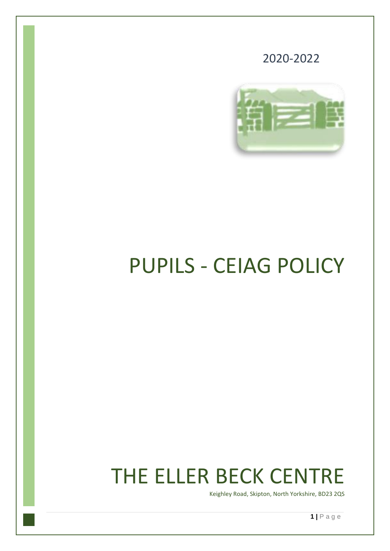

2020-2022

## PUPILS - CEIAG POLICY

# THE ELLER BECK CENTRE

Keighley Road, Skipton, North Yorkshire, BD23 2QS

**1 |** P a g e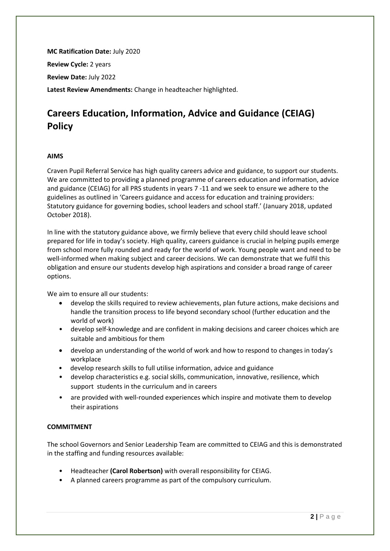**MC Ratification Date:** July 2020 **Review Cycle:** 2 years **Review Date:** July 2022 **Latest Review Amendments:** Change in headteacher highlighted.

## **Careers Education, Information, Advice and Guidance (CEIAG) Policy**

#### **AIMS**

Craven Pupil Referral Service has high quality careers advice and guidance, to support our students. We are committed to providing a planned programme of careers education and information, advice and guidance (CEIAG) for all PRS students in years 7 -11 and we seek to ensure we adhere to the guidelines as outlined in 'Careers guidance and access for education and training providers: Statutory guidance for governing bodies, school leaders and school staff.' (January 2018, updated October 2018).

In line with the statutory guidance above, we firmly believe that every child should leave school prepared for life in today's society. High quality, careers guidance is crucial in helping pupils emerge from school more fully rounded and ready for the world of work. Young people want and need to be well-informed when making subject and career decisions. We can demonstrate that we fulfil this obligation and ensure our students develop high aspirations and consider a broad range of career options.

We aim to ensure all our students:

- develop the skills required to review achievements, plan future actions, make decisions and handle the transition process to life beyond secondary school (further education and the world of work)
- develop self-knowledge and are confident in making decisions and career choices which are suitable and ambitious for them
- develop an understanding of the world of work and how to respond to changes in today's workplace
- develop research skills to full utilise information, advice and guidance
- develop characteristics e.g. social skills, communication, innovative, resilience, which support students in the curriculum and in careers
- are provided with well-rounded experiences which inspire and motivate them to develop their aspirations

#### **COMMITMENT**

The school Governors and Senior Leadership Team are committed to CEIAG and this is demonstrated in the staffing and funding resources available:

- Headteacher **(Carol Robertson)** with overall responsibility for CEIAG.
- A planned careers programme as part of the compulsory curriculum.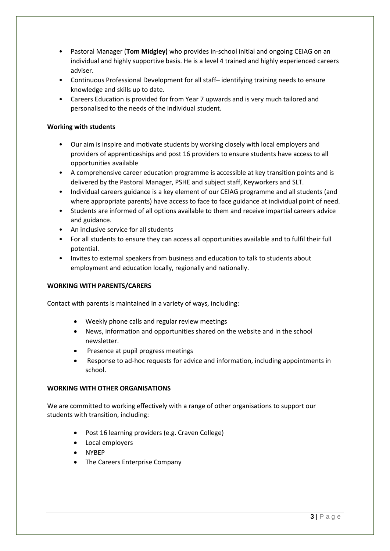- Pastoral Manager (**Tom Midgley)** who provides in-school initial and ongoing CEIAG on an individual and highly supportive basis. He is a level 4 trained and highly experienced careers adviser.
- Continuous Professional Development for all staff– identifying training needs to ensure knowledge and skills up to date.
- Careers Education is provided for from Year 7 upwards and is very much tailored and personalised to the needs of the individual student.

#### **Working with students**

- Our aim is inspire and motivate students by working closely with local employers and providers of apprenticeships and post 16 providers to ensure students have access to all opportunities available
- A comprehensive career education programme is accessible at key transition points and is delivered by the Pastoral Manager, PSHE and subject staff, Keyworkers and SLT.
- Individual careers guidance is a key element of our CEIAG programme and all students (and where appropriate parents) have access to face to face guidance at individual point of need.
- Students are informed of all options available to them and receive impartial careers advice and guidance.
- An inclusive service for all students
- For all students to ensure they can access all opportunities available and to fulfil their full potential.
- Invites to external speakers from business and education to talk to students about employment and education locally, regionally and nationally.

#### **WORKING WITH PARENTS/CARERS**

Contact with parents is maintained in a variety of ways, including:

- Weekly phone calls and regular review meetings
- News, information and opportunities shared on the website and in the school newsletter.
- Presence at pupil progress meetings
- Response to ad-hoc requests for advice and information, including appointments in school.

#### **WORKING WITH OTHER ORGANISATIONS**

We are committed to working effectively with a range of other organisations to support our students with transition, including:

- Post 16 learning providers (e.g. Craven College)
- Local employers
- NYBEP
- The Careers Enterprise Company